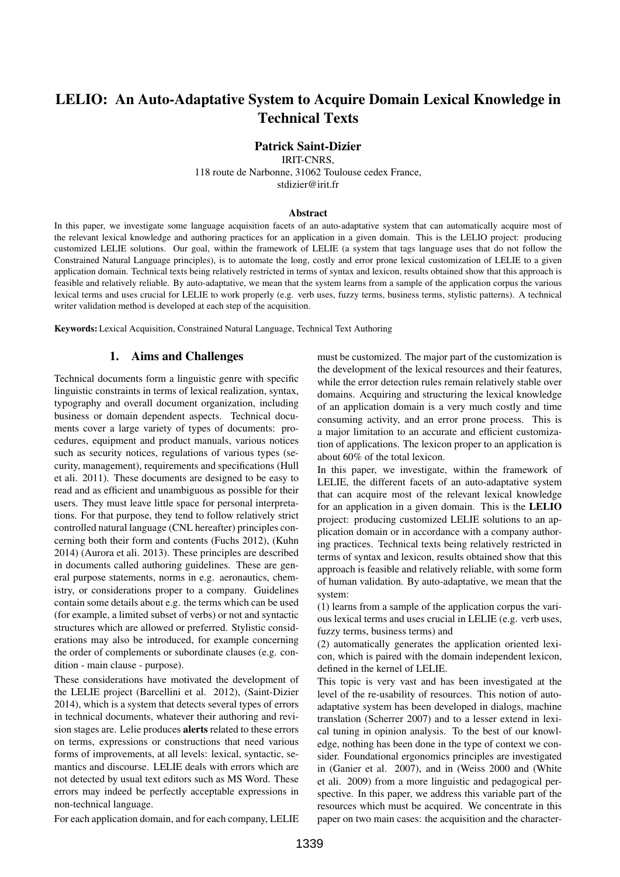# LELIO: An Auto-Adaptative System to Acquire Domain Lexical Knowledge in Technical Texts

# Patrick Saint-Dizier

IRIT-CNRS,

118 route de Narbonne, 31062 Toulouse cedex France, stdizier@irit.fr

#### Abstract

In this paper, we investigate some language acquisition facets of an auto-adaptative system that can automatically acquire most of the relevant lexical knowledge and authoring practices for an application in a given domain. This is the LELIO project: producing customized LELIE solutions. Our goal, within the framework of LELIE (a system that tags language uses that do not follow the Constrained Natural Language principles), is to automate the long, costly and error prone lexical customization of LELIE to a given application domain. Technical texts being relatively restricted in terms of syntax and lexicon, results obtained show that this approach is feasible and relatively reliable. By auto-adaptative, we mean that the system learns from a sample of the application corpus the various lexical terms and uses crucial for LELIE to work properly (e.g. verb uses, fuzzy terms, business terms, stylistic patterns). A technical writer validation method is developed at each step of the acquisition.

Keywords: Lexical Acquisition, Constrained Natural Language, Technical Text Authoring

### 1. Aims and Challenges

Technical documents form a linguistic genre with specific linguistic constraints in terms of lexical realization, syntax, typography and overall document organization, including business or domain dependent aspects. Technical documents cover a large variety of types of documents: procedures, equipment and product manuals, various notices such as security notices, regulations of various types (security, management), requirements and specifications (Hull et ali. 2011). These documents are designed to be easy to read and as efficient and unambiguous as possible for their users. They must leave little space for personal interpretations. For that purpose, they tend to follow relatively strict controlled natural language (CNL hereafter) principles concerning both their form and contents (Fuchs 2012), (Kuhn 2014) (Aurora et ali. 2013). These principles are described in documents called authoring guidelines. These are general purpose statements, norms in e.g. aeronautics, chemistry, or considerations proper to a company. Guidelines contain some details about e.g. the terms which can be used (for example, a limited subset of verbs) or not and syntactic structures which are allowed or preferred. Stylistic considerations may also be introduced, for example concerning the order of complements or subordinate clauses (e.g. condition - main clause - purpose).

These considerations have motivated the development of the LELIE project (Barcellini et al. 2012), (Saint-Dizier 2014), which is a system that detects several types of errors in technical documents, whatever their authoring and revision stages are. Lelie produces alerts related to these errors on terms, expressions or constructions that need various forms of improvements, at all levels: lexical, syntactic, semantics and discourse. LELIE deals with errors which are not detected by usual text editors such as MS Word. These errors may indeed be perfectly acceptable expressions in non-technical language.

For each application domain, and for each company, LELIE

must be customized. The major part of the customization is the development of the lexical resources and their features, while the error detection rules remain relatively stable over domains. Acquiring and structuring the lexical knowledge of an application domain is a very much costly and time consuming activity, and an error prone process. This is a major limitation to an accurate and efficient customization of applications. The lexicon proper to an application is about 60% of the total lexicon.

In this paper, we investigate, within the framework of LELIE, the different facets of an auto-adaptative system that can acquire most of the relevant lexical knowledge for an application in a given domain. This is the LELIO project: producing customized LELIE solutions to an application domain or in accordance with a company authoring practices. Technical texts being relatively restricted in terms of syntax and lexicon, results obtained show that this approach is feasible and relatively reliable, with some form of human validation. By auto-adaptative, we mean that the system:

(1) learns from a sample of the application corpus the various lexical terms and uses crucial in LELIE (e.g. verb uses, fuzzy terms, business terms) and

(2) automatically generates the application oriented lexicon, which is paired with the domain independent lexicon, defined in the kernel of LELIE.

This topic is very vast and has been investigated at the level of the re-usability of resources. This notion of autoadaptative system has been developed in dialogs, machine translation (Scherrer 2007) and to a lesser extend in lexical tuning in opinion analysis. To the best of our knowledge, nothing has been done in the type of context we consider. Foundational ergonomics principles are investigated in (Ganier et al. 2007), and in (Weiss 2000 and (White et ali. 2009) from a more linguistic and pedagogical perspective. In this paper, we address this variable part of the resources which must be acquired. We concentrate in this paper on two main cases: the acquisition and the character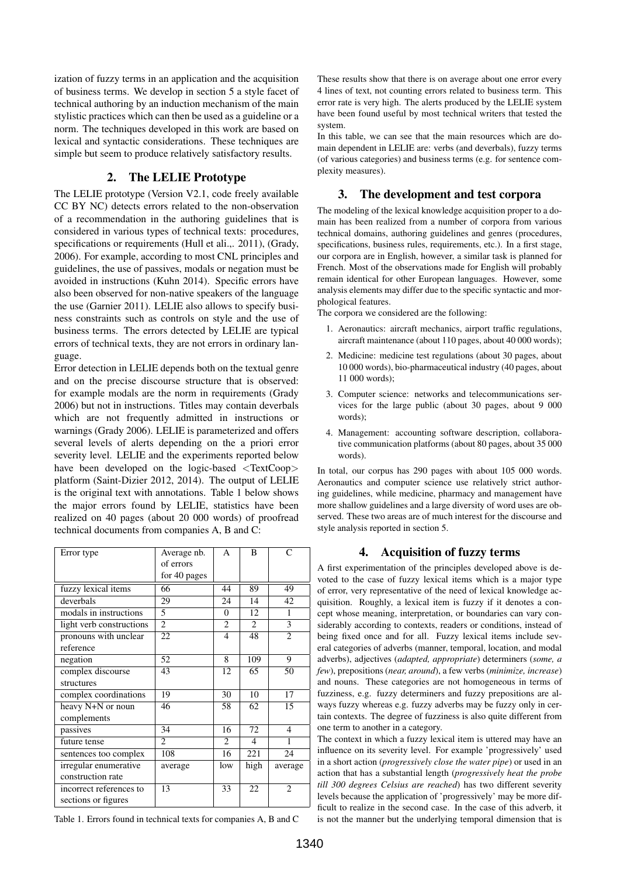ization of fuzzy terms in an application and the acquisition of business terms. We develop in section 5 a style facet of technical authoring by an induction mechanism of the main stylistic practices which can then be used as a guideline or a norm. The techniques developed in this work are based on lexical and syntactic considerations. These techniques are simple but seem to produce relatively satisfactory results.

### 2. The LELIE Prototype

The LELIE prototype (Version V2.1, code freely available CC BY NC) detects errors related to the non-observation of a recommendation in the authoring guidelines that is considered in various types of technical texts: procedures, specifications or requirements (Hull et ali.,. 2011), (Grady, 2006). For example, according to most CNL principles and guidelines, the use of passives, modals or negation must be avoided in instructions (Kuhn 2014). Specific errors have also been observed for non-native speakers of the language the use (Garnier 2011). LELIE also allows to specify business constraints such as controls on style and the use of business terms. The errors detected by LELIE are typical errors of technical texts, they are not errors in ordinary language.

Error detection in LELIE depends both on the textual genre and on the precise discourse structure that is observed: for example modals are the norm in requirements (Grady 2006) but not in instructions. Titles may contain deverbals which are not frequently admitted in instructions or warnings (Grady 2006). LELIE is parameterized and offers several levels of alerts depending on the a priori error severity level. LELIE and the experiments reported below have been developed on the logic-based <TextCoop> platform (Saint-Dizier 2012, 2014). The output of LELIE is the original text with annotations. Table 1 below shows the major errors found by LELIE, statistics have been realized on 40 pages (about 20 000 words) of proofread technical documents from companies A, B and C:

| Error type               | Average nb.<br>of errors<br>for 40 pages | A              | B              | $\subset$      |
|--------------------------|------------------------------------------|----------------|----------------|----------------|
| fuzzy lexical items      | 66                                       | 44             | 89             | 49             |
| deverbals                | 29                                       | 24             | 14             | 42             |
| modals in instructions   | 5                                        | $\Omega$       | 12             | 1              |
| light verb constructions | $\overline{c}$                           | $\overline{c}$ | $\overline{2}$ | 3              |
| pronouns with unclear    | 22                                       | 4              | 48             | $\overline{c}$ |
| reference                |                                          |                |                |                |
| negation                 | 52                                       | 8              | 109            | 9              |
| complex discourse        | 43                                       | 12             | 65             | 50             |
| structures               |                                          |                |                |                |
| complex coordinations    | 19                                       | 30             | 10             | 17             |
| heavy N+N or noun        | 46                                       | 58             | 62             | 15             |
| complements              |                                          |                |                |                |
| passives                 | 34                                       | 16             | 72             | $\overline{4}$ |
| future tense             | $\overline{c}$                           | 2              | 4              | 1              |
| sentences too complex    | 108                                      | 16             | 221            | 24             |
| irregular enumerative    | average                                  | low            | high           | average        |
| construction rate        |                                          |                |                |                |
| incorrect references to  | 13                                       | 33             | 22             | $\mathfrak{D}$ |
| sections or figures      |                                          |                |                |                |

Table 1. Errors found in technical texts for companies A, B and C

These results show that there is on average about one error every 4 lines of text, not counting errors related to business term. This error rate is very high. The alerts produced by the LELIE system have been found useful by most technical writers that tested the system.

In this table, we can see that the main resources which are domain dependent in LELIE are: verbs (and deverbals), fuzzy terms (of various categories) and business terms (e.g. for sentence complexity measures).

### 3. The development and test corpora

The modeling of the lexical knowledge acquisition proper to a domain has been realized from a number of corpora from various technical domains, authoring guidelines and genres (procedures, specifications, business rules, requirements, etc.). In a first stage, our corpora are in English, however, a similar task is planned for French. Most of the observations made for English will probably remain identical for other European languages. However, some analysis elements may differ due to the specific syntactic and morphological features.

The corpora we considered are the following:

- 1. Aeronautics: aircraft mechanics, airport traffic regulations, aircraft maintenance (about 110 pages, about 40 000 words);
- 2. Medicine: medicine test regulations (about 30 pages, about 10 000 words), bio-pharmaceutical industry (40 pages, about 11 000 words);
- 3. Computer science: networks and telecommunications services for the large public (about 30 pages, about 9 000 words);
- 4. Management: accounting software description, collaborative communication platforms (about 80 pages, about 35 000 words).

In total, our corpus has 290 pages with about 105 000 words. Aeronautics and computer science use relatively strict authoring guidelines, while medicine, pharmacy and management have more shallow guidelines and a large diversity of word uses are observed. These two areas are of much interest for the discourse and style analysis reported in section 5.

### 4. Acquisition of fuzzy terms

A first experimentation of the principles developed above is devoted to the case of fuzzy lexical items which is a major type of error, very representative of the need of lexical knowledge acquisition. Roughly, a lexical item is fuzzy if it denotes a concept whose meaning, interpretation, or boundaries can vary considerably according to contexts, readers or conditions, instead of being fixed once and for all. Fuzzy lexical items include several categories of adverbs (manner, temporal, location, and modal adverbs), adjectives (*adapted, appropriate*) determiners (*some, a few*), prepositions (*near, around*), a few verbs (*minimize, increase*) and nouns. These categories are not homogeneous in terms of fuzziness, e.g. fuzzy determiners and fuzzy prepositions are always fuzzy whereas e.g. fuzzy adverbs may be fuzzy only in certain contexts. The degree of fuzziness is also quite different from one term to another in a category.

The context in which a fuzzy lexical item is uttered may have an influence on its severity level. For example 'progressively' used in a short action (*progressively close the water pipe*) or used in an action that has a substantial length (*progressively heat the probe till 300 degrees Celsius are reached*) has two different severity levels because the application of 'progressively' may be more difficult to realize in the second case. In the case of this adverb, it is not the manner but the underlying temporal dimension that is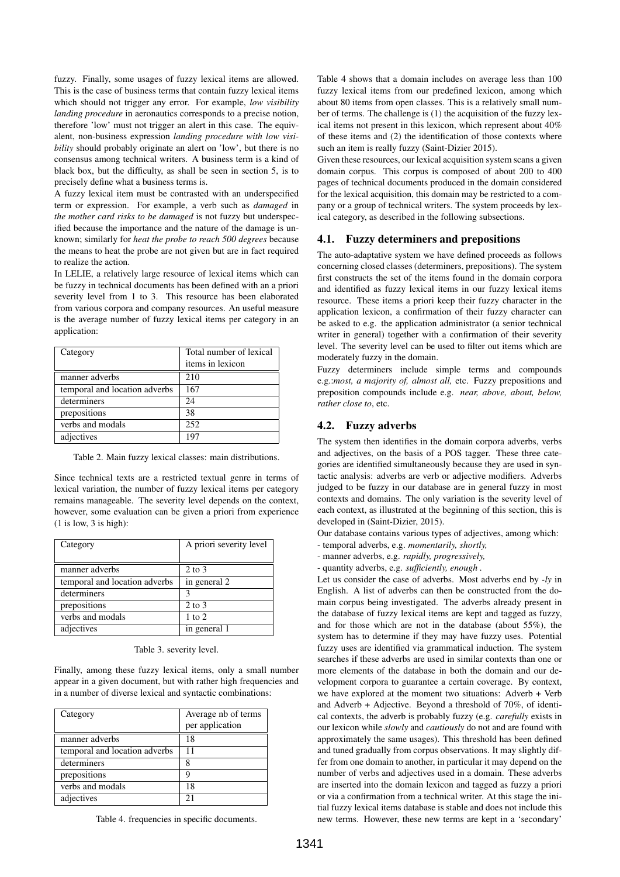fuzzy. Finally, some usages of fuzzy lexical items are allowed. This is the case of business terms that contain fuzzy lexical items which should not trigger any error. For example, *low visibility landing procedure* in aeronautics corresponds to a precise notion, therefore 'low' must not trigger an alert in this case. The equivalent, non-business expression *landing procedure with low visibility* should probably originate an alert on 'low', but there is no consensus among technical writers. A business term is a kind of black box, but the difficulty, as shall be seen in section 5, is to precisely define what a business terms is.

A fuzzy lexical item must be contrasted with an underspecified term or expression. For example, a verb such as *damaged* in *the mother card risks to be damaged* is not fuzzy but underspecified because the importance and the nature of the damage is unknown; similarly for *heat the probe to reach 500 degrees* because the means to heat the probe are not given but are in fact required to realize the action.

In LELIE, a relatively large resource of lexical items which can be fuzzy in technical documents has been defined with an a priori severity level from 1 to 3. This resource has been elaborated from various corpora and company resources. An useful measure is the average number of fuzzy lexical items per category in an application:

| Category                      | Total number of lexical |
|-------------------------------|-------------------------|
|                               | items in lexicon        |
| manner adverbs                | 210                     |
| temporal and location adverbs | 167                     |
| determiners                   | 24                      |
| prepositions                  | 38                      |
| verbs and modals              | 252                     |
| adjectives                    | 197                     |

Table 2. Main fuzzy lexical classes: main distributions.

Since technical texts are a restricted textual genre in terms of lexical variation, the number of fuzzy lexical items per category remains manageable. The severity level depends on the context, however, some evaluation can be given a priori from experience  $(1$  is low,  $3$  is high):

| Category                      | A priori severity level |
|-------------------------------|-------------------------|
| manner adverbs                | $2$ to $3$              |
| temporal and location adverbs | in general 2            |
| determiners                   | 3                       |
| prepositions                  | $2 \text{ to } 3$       |
| verbs and modals              | $1$ to $2$              |
| adjectives                    | in general 1            |

Table 3. severity level.

Finally, among these fuzzy lexical items, only a small number appear in a given document, but with rather high frequencies and in a number of diverse lexical and syntactic combinations:

| Category                      | Average nb of terms |  |
|-------------------------------|---------------------|--|
|                               | per application     |  |
| manner adverbs                | 18                  |  |
| temporal and location adverbs | 11                  |  |
| determiners                   |                     |  |
| prepositions                  | q                   |  |
| verbs and modals              | 18                  |  |
| adjectives                    |                     |  |

Table 4. frequencies in specific documents.

Table 4 shows that a domain includes on average less than 100 fuzzy lexical items from our predefined lexicon, among which about 80 items from open classes. This is a relatively small number of terms. The challenge is (1) the acquisition of the fuzzy lexical items not present in this lexicon, which represent about 40% of these items and (2) the identification of those contexts where such an item is really fuzzy (Saint-Dizier 2015).

Given these resources, our lexical acquisition system scans a given domain corpus. This corpus is composed of about 200 to 400 pages of technical documents produced in the domain considered for the lexical acquisition, this domain may be restricted to a company or a group of technical writers. The system proceeds by lexical category, as described in the following subsections.

# 4.1. Fuzzy determiners and prepositions

The auto-adaptative system we have defined proceeds as follows concerning closed classes (determiners, prepositions). The system first constructs the set of the items found in the domain corpora and identified as fuzzy lexical items in our fuzzy lexical items resource. These items a priori keep their fuzzy character in the application lexicon, a confirmation of their fuzzy character can be asked to e.g. the application administrator (a senior technical writer in general) together with a confirmation of their severity level. The severity level can be used to filter out items which are moderately fuzzy in the domain.

Fuzzy determiners include simple terms and compounds e.g.:*most, a majority of, almost all,* etc. Fuzzy prepositions and preposition compounds include e.g. *near, above, about, below, rather close to*, etc.

# 4.2. Fuzzy adverbs

The system then identifies in the domain corpora adverbs, verbs and adjectives, on the basis of a POS tagger. These three categories are identified simultaneously because they are used in syntactic analysis: adverbs are verb or adjective modifiers. Adverbs judged to be fuzzy in our database are in general fuzzy in most contexts and domains. The only variation is the severity level of each context, as illustrated at the beginning of this section, this is developed in (Saint-Dizier, 2015).

Our database contains various types of adjectives, among which:

- temporal adverbs, e.g. *momentarily, shortly,*
- manner adverbs, e.g. *rapidly, progressively,*
- quantity adverbs, e.g. *sufficiently, enough .*

Let us consider the case of adverbs. Most adverbs end by *-ly* in English. A list of adverbs can then be constructed from the domain corpus being investigated. The adverbs already present in the database of fuzzy lexical items are kept and tagged as fuzzy, and for those which are not in the database (about 55%), the system has to determine if they may have fuzzy uses. Potential fuzzy uses are identified via grammatical induction. The system searches if these adverbs are used in similar contexts than one or more elements of the database in both the domain and our development corpora to guarantee a certain coverage. By context, we have explored at the moment two situations: Adverb + Verb and Adverb + Adjective. Beyond a threshold of 70%, of identical contexts, the adverb is probably fuzzy (e.g. *carefully* exists in our lexicon while *slowly* and *cautiously* do not and are found with approximately the same usages). This threshold has been defined and tuned gradually from corpus observations. It may slightly differ from one domain to another, in particular it may depend on the number of verbs and adjectives used in a domain. These adverbs are inserted into the domain lexicon and tagged as fuzzy a priori or via a confirmation from a technical writer. At this stage the initial fuzzy lexical items database is stable and does not include this new terms. However, these new terms are kept in a 'secondary'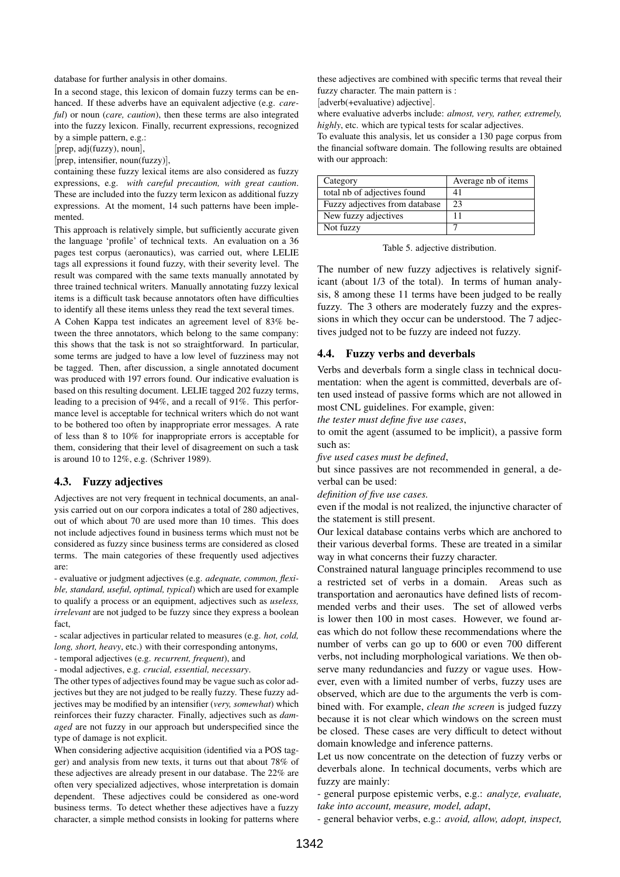database for further analysis in other domains.

In a second stage, this lexicon of domain fuzzy terms can be enhanced. If these adverbs have an equivalent adjective (e.g. *careful*) or noun (*care, caution*), then these terms are also integrated into the fuzzy lexicon. Finally, recurrent expressions, recognized by a simple pattern, e.g.:

[prep, adj(fuzzy), noun],

[prep, intensifier, noun(fuzzy)],

containing these fuzzy lexical items are also considered as fuzzy expressions, e.g. *with careful precaution, with great caution*. These are included into the fuzzy term lexicon as additional fuzzy expressions. At the moment, 14 such patterns have been implemented.

This approach is relatively simple, but sufficiently accurate given the language 'profile' of technical texts. An evaluation on a 36 pages test corpus (aeronautics), was carried out, where LELIE tags all expressions it found fuzzy, with their severity level. The result was compared with the same texts manually annotated by three trained technical writers. Manually annotating fuzzy lexical items is a difficult task because annotators often have difficulties to identify all these items unless they read the text several times.

A Cohen Kappa test indicates an agreement level of 83% between the three annotators, which belong to the same company: this shows that the task is not so straightforward. In particular, some terms are judged to have a low level of fuzziness may not be tagged. Then, after discussion, a single annotated document was produced with 197 errors found. Our indicative evaluation is based on this resulting document. LELIE tagged 202 fuzzy terms, leading to a precision of 94%, and a recall of 91%. This performance level is acceptable for technical writers which do not want to be bothered too often by inappropriate error messages. A rate of less than 8 to 10% for inappropriate errors is acceptable for them, considering that their level of disagreement on such a task is around 10 to 12%, e.g. (Schriver 1989).

#### 4.3. Fuzzy adjectives

Adjectives are not very frequent in technical documents, an analysis carried out on our corpora indicates a total of 280 adjectives, out of which about 70 are used more than 10 times. This does not include adjectives found in business terms which must not be considered as fuzzy since business terms are considered as closed terms. The main categories of these frequently used adjectives are:

- evaluative or judgment adjectives (e.g. *adequate, common, flexible, standard, useful, optimal, typical*) which are used for example to qualify a process or an equipment, adjectives such as *useless, irrelevant* are not judged to be fuzzy since they express a boolean fact,

- scalar adjectives in particular related to measures (e.g. *hot, cold, long, short, heavy*, etc.) with their corresponding antonyms,

- temporal adjectives (e.g. *recurrent, frequent*), and

- modal adjectives, e.g. *crucial, essential, necessary*.

The other types of adjectives found may be vague such as color adjectives but they are not judged to be really fuzzy. These fuzzy adjectives may be modified by an intensifier (*very, somewhat*) which reinforces their fuzzy character. Finally, adjectives such as *damaged* are not fuzzy in our approach but underspecified since the type of damage is not explicit.

When considering adjective acquisition (identified via a POS tagger) and analysis from new texts, it turns out that about 78% of these adjectives are already present in our database. The 22% are often very specialized adjectives, whose interpretation is domain dependent. These adjectives could be considered as one-word business terms. To detect whether these adjectives have a fuzzy character, a simple method consists in looking for patterns where

these adjectives are combined with specific terms that reveal their fuzzy character. The main pattern is :

[adverb(+evaluative) adjective].

where evaluative adverbs include: *almost, very, rather, extremely, highly*, etc. which are typical tests for scalar adjectives.

To evaluate this analysis, let us consider a 130 page corpus from the financial software domain. The following results are obtained with our approach:

| Category                       | Average nb of items |  |  |
|--------------------------------|---------------------|--|--|
| total nb of adjectives found   | 41                  |  |  |
| Fuzzy adjectives from database | 23                  |  |  |
| New fuzzy adjectives           | 11                  |  |  |
| Not fuzzy                      |                     |  |  |

Table 5. adjective distribution.

The number of new fuzzy adjectives is relatively significant (about 1/3 of the total). In terms of human analysis, 8 among these 11 terms have been judged to be really fuzzy. The 3 others are moderately fuzzy and the expressions in which they occur can be understood. The 7 adjectives judged not to be fuzzy are indeed not fuzzy.

# 4.4. Fuzzy verbs and deverbals

Verbs and deverbals form a single class in technical documentation: when the agent is committed, deverbals are often used instead of passive forms which are not allowed in most CNL guidelines. For example, given:

*the tester must define five use cases*,

to omit the agent (assumed to be implicit), a passive form such as:

*five used cases must be defined*,

but since passives are not recommended in general, a deverbal can be used:

*definition of five use cases.*

even if the modal is not realized, the injunctive character of the statement is still present.

Our lexical database contains verbs which are anchored to their various deverbal forms. These are treated in a similar way in what concerns their fuzzy character.

Constrained natural language principles recommend to use a restricted set of verbs in a domain. Areas such as transportation and aeronautics have defined lists of recommended verbs and their uses. The set of allowed verbs is lower then 100 in most cases. However, we found areas which do not follow these recommendations where the number of verbs can go up to 600 or even 700 different verbs, not including morphological variations. We then observe many redundancies and fuzzy or vague uses. However, even with a limited number of verbs, fuzzy uses are observed, which are due to the arguments the verb is combined with. For example, *clean the screen* is judged fuzzy because it is not clear which windows on the screen must be closed. These cases are very difficult to detect without domain knowledge and inference patterns.

Let us now concentrate on the detection of fuzzy verbs or deverbals alone. In technical documents, verbs which are fuzzy are mainly:

- general purpose epistemic verbs, e.g.: *analyze, evaluate, take into account, measure, model, adapt*,

- general behavior verbs, e.g.: *avoid, allow, adopt, inspect,*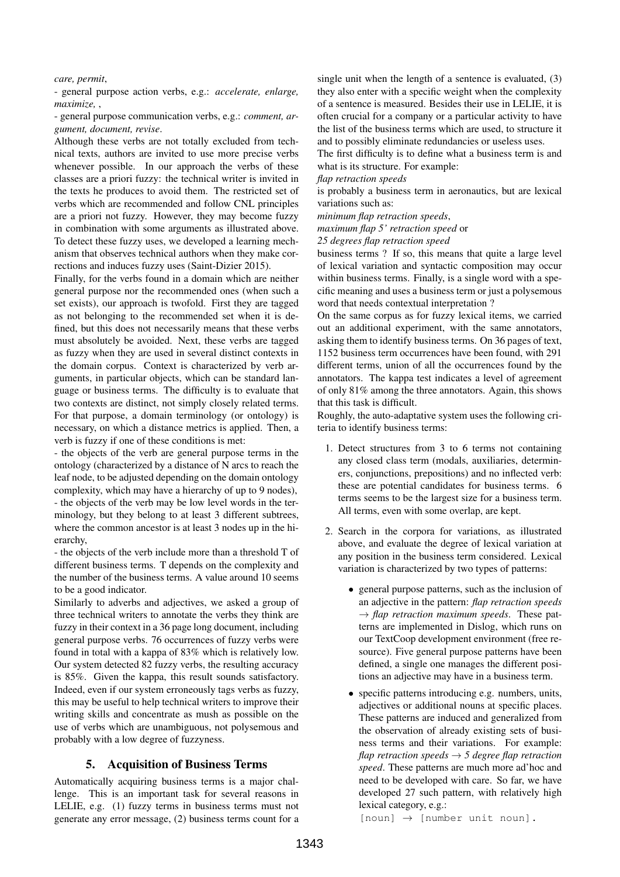#### *care, permit*,

- general purpose action verbs, e.g.: *accelerate, enlarge, maximize,* ,

- general purpose communication verbs, e.g.: *comment, argument, document, revise*.

Although these verbs are not totally excluded from technical texts, authors are invited to use more precise verbs whenever possible. In our approach the verbs of these classes are a priori fuzzy: the technical writer is invited in the texts he produces to avoid them. The restricted set of verbs which are recommended and follow CNL principles are a priori not fuzzy. However, they may become fuzzy in combination with some arguments as illustrated above. To detect these fuzzy uses, we developed a learning mechanism that observes technical authors when they make corrections and induces fuzzy uses (Saint-Dizier 2015).

Finally, for the verbs found in a domain which are neither general purpose nor the recommended ones (when such a set exists), our approach is twofold. First they are tagged as not belonging to the recommended set when it is defined, but this does not necessarily means that these verbs must absolutely be avoided. Next, these verbs are tagged as fuzzy when they are used in several distinct contexts in the domain corpus. Context is characterized by verb arguments, in particular objects, which can be standard language or business terms. The difficulty is to evaluate that two contexts are distinct, not simply closely related terms. For that purpose, a domain terminology (or ontology) is necessary, on which a distance metrics is applied. Then, a verb is fuzzy if one of these conditions is met:

- the objects of the verb are general purpose terms in the ontology (characterized by a distance of N arcs to reach the leaf node, to be adjusted depending on the domain ontology complexity, which may have a hierarchy of up to 9 nodes), - the objects of the verb may be low level words in the terminology, but they belong to at least 3 different subtrees, where the common ancestor is at least 3 nodes up in the hierarchy,

- the objects of the verb include more than a threshold T of different business terms. T depends on the complexity and the number of the business terms. A value around 10 seems to be a good indicator.

Similarly to adverbs and adjectives, we asked a group of three technical writers to annotate the verbs they think are fuzzy in their context in a 36 page long document, including general purpose verbs. 76 occurrences of fuzzy verbs were found in total with a kappa of 83% which is relatively low. Our system detected 82 fuzzy verbs, the resulting accuracy is 85%. Given the kappa, this result sounds satisfactory. Indeed, even if our system erroneously tags verbs as fuzzy, this may be useful to help technical writers to improve their writing skills and concentrate as mush as possible on the use of verbs which are unambiguous, not polysemous and probably with a low degree of fuzzyness.

# 5. Acquisition of Business Terms

Automatically acquiring business terms is a major challenge. This is an important task for several reasons in LELIE, e.g. (1) fuzzy terms in business terms must not generate any error message, (2) business terms count for a

single unit when the length of a sentence is evaluated, (3) they also enter with a specific weight when the complexity of a sentence is measured. Besides their use in LELIE, it is often crucial for a company or a particular activity to have the list of the business terms which are used, to structure it and to possibly eliminate redundancies or useless uses.

The first difficulty is to define what a business term is and what is its structure. For example:

*flap retraction speeds*

is probably a business term in aeronautics, but are lexical variations such as:

*minimum flap retraction speeds*,

*maximum flap 5' retraction speed* or

*25 degrees flap retraction speed*

business terms ? If so, this means that quite a large level of lexical variation and syntactic composition may occur within business terms. Finally, is a single word with a specific meaning and uses a business term or just a polysemous word that needs contextual interpretation ?

On the same corpus as for fuzzy lexical items, we carried out an additional experiment, with the same annotators, asking them to identify business terms. On 36 pages of text, 1152 business term occurrences have been found, with 291 different terms, union of all the occurrences found by the annotators. The kappa test indicates a level of agreement of only 81% among the three annotators. Again, this shows that this task is difficult.

Roughly, the auto-adaptative system uses the following criteria to identify business terms:

- 1. Detect structures from 3 to 6 terms not containing any closed class term (modals, auxiliaries, determiners, conjunctions, prepositions) and no inflected verb: these are potential candidates for business terms. 6 terms seems to be the largest size for a business term. All terms, even with some overlap, are kept.
- 2. Search in the corpora for variations, as illustrated above, and evaluate the degree of lexical variation at any position in the business term considered. Lexical variation is characterized by two types of patterns:
	- general purpose patterns, such as the inclusion of an adjective in the pattern: *flap retraction speeds*  $\rightarrow$  *flap retraction maximum speeds.* These patterns are implemented in Dislog, which runs on our TextCoop development environment (free resource). Five general purpose patterns have been defined, a single one manages the different positions an adjective may have in a business term.
	- specific patterns introducing e.g. numbers, units, adjectives or additional nouns at specific places. These patterns are induced and generalized from the observation of already existing sets of business terms and their variations. For example: *flap retraction speeds* → *5 degree flap retraction speed*. These patterns are much more ad'hoc and need to be developed with care. So far, we have developed 27 such pattern, with relatively high lexical category, e.g.:

 $[noun] \rightarrow [number unit noun].$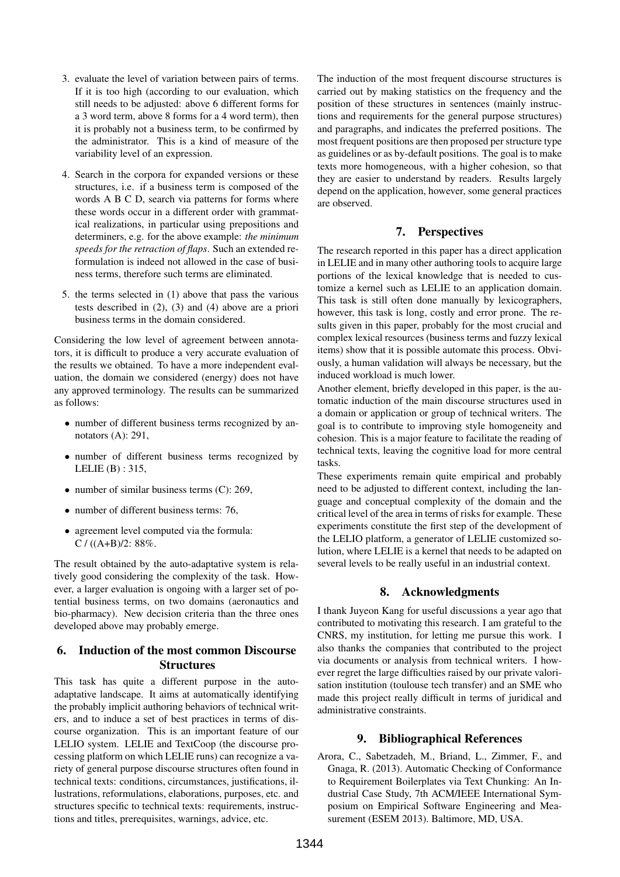- 3. evaluate the level of variation between pairs of terms. If it is too high (according to our evaluation, which still needs to be adjusted: above 6 different forms for a 3 word term, above 8 forms for a 4 word term), then it is probably not a business term, to be confirmed by the administrator. This is a kind of measure of the variability level of an expression.
- 4. Search in the corpora for expanded versions or these structures, i.e. if a business term is composed of the words A B C D, search via patterns for forms where these words occur in a different order with grammatical realizations, in particular using prepositions and determiners, e.g. for the above example: *the minimum speeds for the retraction of flaps*. Such an extended reformulation is indeed not allowed in the case of business terms, therefore such terms are eliminated.
- 5. the terms selected in (1) above that pass the various tests described in (2), (3) and (4) above are a priori business terms in the domain considered.

Considering the low level of agreement between annotators, it is difficult to produce a very accurate evaluation of the results we obtained. To have a more independent evaluation, the domain we considered (energy) does not have any approved terminology. The results can be summarized as follows:

- number of different business terms recognized by annotators (A): 291,
- number of different business terms recognized by LELIE (B) : 315,
- number of similar business terms (C): 269,
- number of different business terms: 76,
- agreement level computed via the formula: C /  $((A+B)/2: 88\%$ .

The result obtained by the auto-adaptative system is relatively good considering the complexity of the task. However, a larger evaluation is ongoing with a larger set of potential business terms, on two domains (aeronautics and bio-pharmacy). New decision criteria than the three ones developed above may probably emerge.

# 6. Induction of the most common Discourse **Structures**

This task has quite a different purpose in the autoadaptative landscape. It aims at automatically identifying the probably implicit authoring behaviors of technical writers, and to induce a set of best practices in terms of discourse organization. This is an important feature of our LELIO system. LELIE and TextCoop (the discourse processing platform on which LELIE runs) can recognize a variety of general purpose discourse structures often found in technical texts: conditions, circumstances, justifications, illustrations, reformulations, elaborations, purposes, etc. and structures specific to technical texts: requirements, instructions and titles, prerequisites, warnings, advice, etc.

The induction of the most frequent discourse structures is carried out by making statistics on the frequency and the position of these structures in sentences (mainly instructions and requirements for the general purpose structures) and paragraphs, and indicates the preferred positions. The most frequent positions are then proposed per structure type as guidelines or as by-default positions. The goal is to make texts more homogeneous, with a higher cohesion, so that they are easier to understand by readers. Results largely depend on the application, however, some general practices are observed.

# 7. Perspectives

The research reported in this paper has a direct application in LELIE and in many other authoring tools to acquire large portions of the lexical knowledge that is needed to customize a kernel such as LELIE to an application domain. This task is still often done manually by lexicographers, however, this task is long, costly and error prone. The results given in this paper, probably for the most crucial and complex lexical resources (business terms and fuzzy lexical items) show that it is possible automate this process. Obviously, a human validation will always be necessary, but the induced workload is much lower.

Another element, briefly developed in this paper, is the automatic induction of the main discourse structures used in a domain or application or group of technical writers. The goal is to contribute to improving style homogeneity and cohesion. This is a major feature to facilitate the reading of technical texts, leaving the cognitive load for more central tasks.

These experiments remain quite empirical and probably need to be adjusted to different context, including the language and conceptual complexity of the domain and the critical level of the area in terms of risks for example. These experiments constitute the first step of the development of the LELIO platform, a generator of LELIE customized solution, where LELIE is a kernel that needs to be adapted on several levels to be really useful in an industrial context.

# 8. Acknowledgments

I thank Juyeon Kang for useful discussions a year ago that contributed to motivating this research. I am grateful to the CNRS, my institution, for letting me pursue this work. I also thanks the companies that contributed to the project via documents or analysis from technical writers. I however regret the large difficulties raised by our private valorisation institution (toulouse tech transfer) and an SME who made this project really difficult in terms of juridical and administrative constraints.

# 9. Bibliographical References

Arora, C., Sabetzadeh, M., Briand, L., Zimmer, F., and Gnaga, R. (2013). Automatic Checking of Conformance to Requirement Boilerplates via Text Chunking: An Industrial Case Study, 7th ACM/IEEE International Symposium on Empirical Software Engineering and Measurement (ESEM 2013). Baltimore, MD, USA.